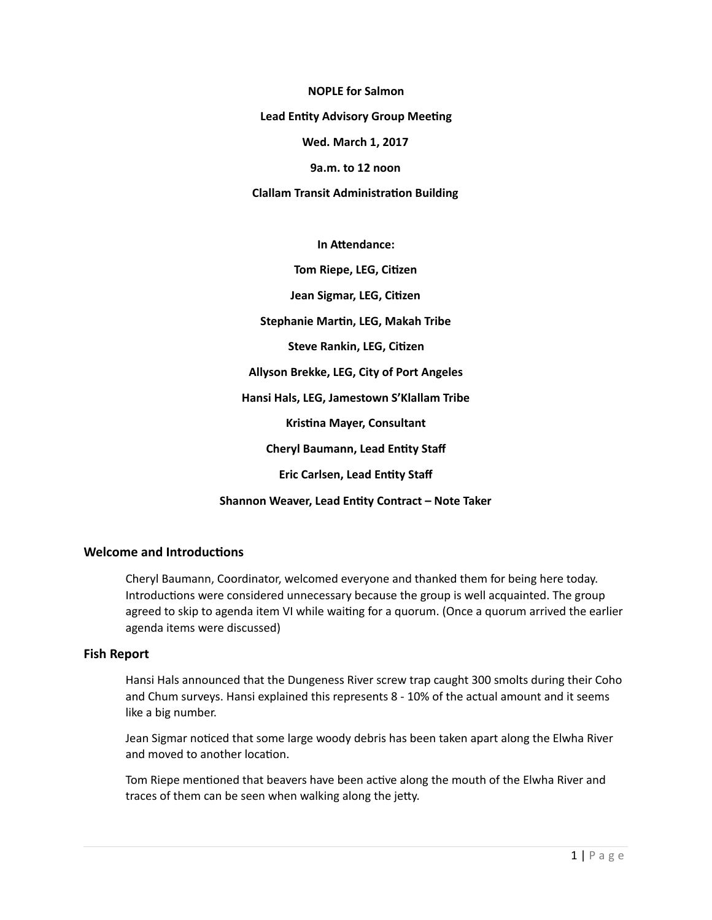**NOPLE** for Salmon

**Lead Entity Advisory Group Meeting** 

Wed. March 1, 2017

**9a.m.** to 12 noon

**Clallam Transit Administration Building** 

**In Attendance:** 

**Tom Riepe, LEG, Citizen Jean Sigmar, LEG, Citizen Stephanie Martin, LEG, Makah Tribe Steve Rankin, LEG, Citizen Allyson Brekke, LEG, City of Port Angeles Hansi Hals, LEG, Jamestown S'Klallam Tribe Kristina Mayer, Consultant Cheryl Baumann, Lead Entity Staff Eric Carlsen, Lead Entity Staff Shannon Weaver, Lead Entity Contract - Note Taker** 

# **Welcome and Introductions**

Cheryl Baumann, Coordinator, welcomed everyone and thanked them for being here today. Introductions were considered unnecessary because the group is well acquainted. The group agreed to skip to agenda item VI while waiting for a quorum. (Once a quorum arrived the earlier agenda items were discussed)

#### **Fish Report**

Hansi Hals announced that the Dungeness River screw trap caught 300 smolts during their Coho and Chum surveys. Hansi explained this represents 8 - 10% of the actual amount and it seems like a big number.

Jean Sigmar noticed that some large woody debris has been taken apart along the Elwha River and moved to another location.

Tom Riepe mentioned that beavers have been active along the mouth of the Elwha River and traces of them can be seen when walking along the jetty.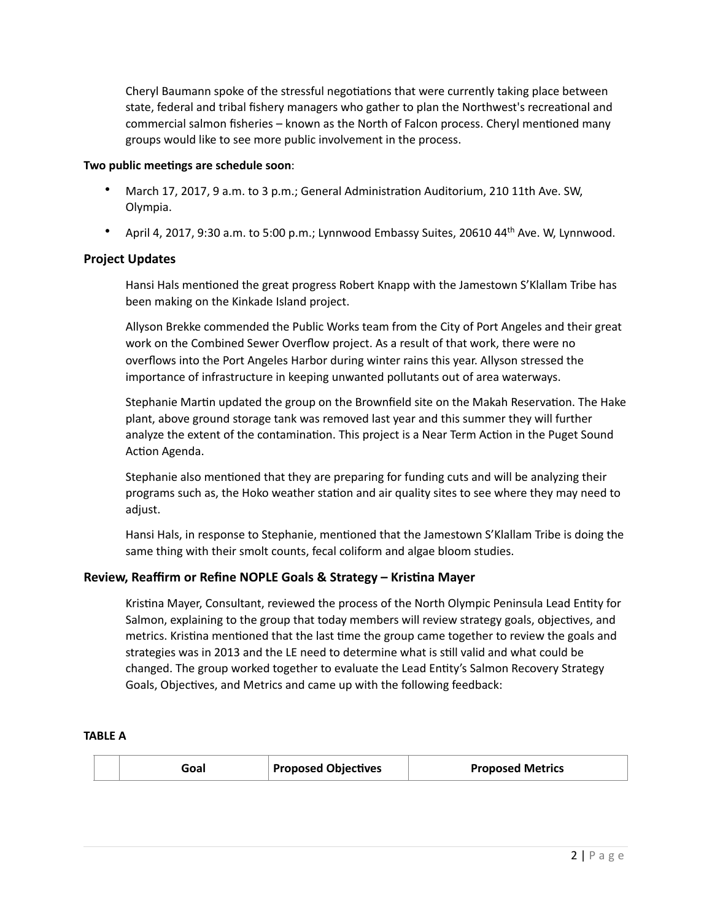Cheryl Baumann spoke of the stressful negotiations that were currently taking place between state, federal and tribal fishery managers who gather to plan the Northwest's recreational and commercial salmon fisheries – known as the North of Falcon process. Cheryl mentioned many groups would like to see more public involvement in the process.

# Two public meetings are schedule soon:

- March 17, 2017, 9 a.m. to 3 p.m.; General Administration Auditorium, 210 11th Ave. SW, Olympia.
- April 4, 2017, 9:30 a.m. to 5:00 p.m.; Lynnwood Embassy Suites, 20610  $44$ <sup>th</sup> Ave. W, Lynnwood.

# **Project Updates**

Hansi Hals mentioned the great progress Robert Knapp with the Jamestown S'Klallam Tribe has been making on the Kinkade Island project.

Allyson Brekke commended the Public Works team from the City of Port Angeles and their great work on the Combined Sewer Overflow project. As a result of that work, there were no overflows into the Port Angeles Harbor during winter rains this year. Allyson stressed the importance of infrastructure in keeping unwanted pollutants out of area waterways.

Stephanie Martin updated the group on the Brownfield site on the Makah Reservation. The Hake plant, above ground storage tank was removed last year and this summer they will further analyze the extent of the contamination. This project is a Near Term Action in the Puget Sound Action Agenda.

Stephanie also mentioned that they are preparing for funding cuts and will be analyzing their programs such as, the Hoko weather station and air quality sites to see where they may need to adjust. 

Hansi Hals, in response to Stephanie, mentioned that the Jamestown S'Klallam Tribe is doing the same thing with their smolt counts, fecal coliform and algae bloom studies.

# Review, Reaffirm or Refine NOPLE Goals & Strategy – Kristina Mayer

Kristina Mayer, Consultant, reviewed the process of the North Olympic Peninsula Lead Entity for Salmon, explaining to the group that today members will review strategy goals, objectives, and metrics. Kristina mentioned that the last time the group came together to review the goals and strategies was in 2013 and the LE need to determine what is still valid and what could be changed. The group worked together to evaluate the Lead Entity's Salmon Recovery Strategy Goals, Objectives, and Metrics and came up with the following feedback:

#### **TABLE A**

|  | ioal | <b>Proposed Objectives</b> | <b>Proposed Metrics</b> |
|--|------|----------------------------|-------------------------|
|--|------|----------------------------|-------------------------|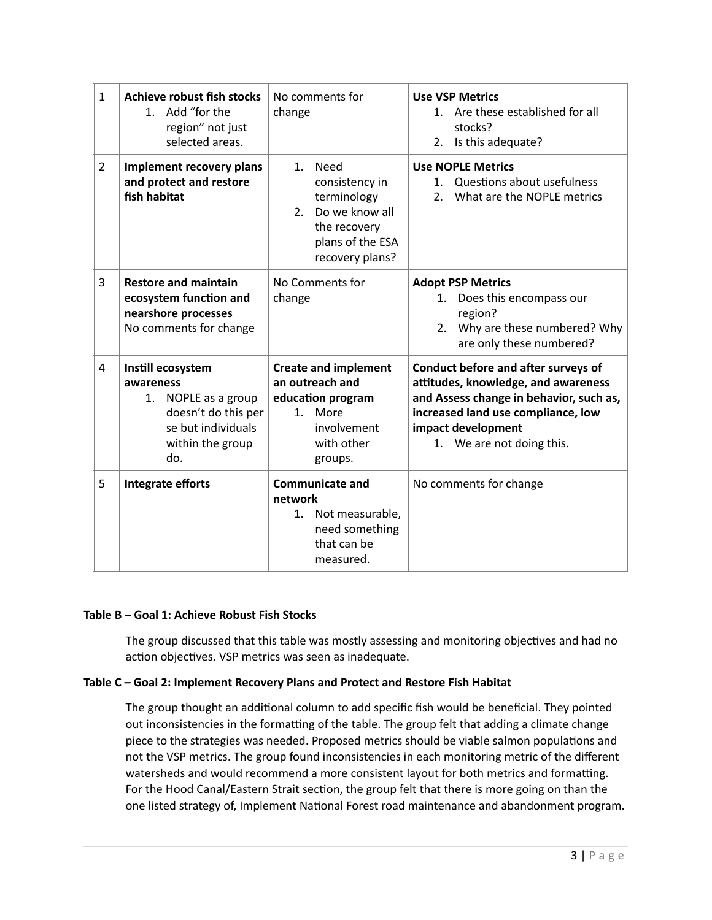| $\mathbf{1}$   | Achieve robust fish stocks<br>1. Add "for the<br>region" not just<br>selected areas.                                          | No comments for<br>change                                                                                                           | <b>Use VSP Metrics</b><br>Are these established for all<br>$1_{-}$<br>stocks?<br>Is this adequate?<br>2.                                                                                                       |
|----------------|-------------------------------------------------------------------------------------------------------------------------------|-------------------------------------------------------------------------------------------------------------------------------------|----------------------------------------------------------------------------------------------------------------------------------------------------------------------------------------------------------------|
| $\overline{2}$ | Implement recovery plans<br>and protect and restore<br>fish habitat                                                           | Need<br>$1_{\cdot}$<br>consistency in<br>terminology<br>Do we know all<br>2.<br>the recovery<br>plans of the ESA<br>recovery plans? | <b>Use NOPLE Metrics</b><br>Questions about usefulness<br>1.<br>What are the NOPLE metrics<br>2 <sub>1</sub>                                                                                                   |
| 3              | <b>Restore and maintain</b><br>ecosystem function and<br>nearshore processes<br>No comments for change                        | No Comments for<br>change                                                                                                           | <b>Adopt PSP Metrics</b><br>Does this encompass our<br>1.<br>region?<br>Why are these numbered? Why<br>2.<br>are only these numbered?                                                                          |
| $\overline{4}$ | Instill ecosystem<br>awareness<br>1. NOPLE as a group<br>doesn't do this per<br>se but individuals<br>within the group<br>do. | <b>Create and implement</b><br>an outreach and<br>education program<br>More<br>$1_{\cdot}$<br>involvement<br>with other<br>groups.  | Conduct before and after surveys of<br>attitudes, knowledge, and awareness<br>and Assess change in behavior, such as,<br>increased land use compliance, low<br>impact development<br>1. We are not doing this. |
| 5              | Integrate efforts                                                                                                             | <b>Communicate and</b><br>network<br>Not measurable,<br>1.<br>need something<br>that can be<br>measured.                            | No comments for change                                                                                                                                                                                         |

# Table B - Goal 1: Achieve Robust Fish Stocks

The group discussed that this table was mostly assessing and monitoring objectives and had no action objectives. VSP metrics was seen as inadequate.

# Table C - Goal 2: Implement Recovery Plans and Protect and Restore Fish Habitat

The group thought an additional column to add specific fish would be beneficial. They pointed out inconsistencies in the formatting of the table. The group felt that adding a climate change piece to the strategies was needed. Proposed metrics should be viable salmon populations and not the VSP metrics. The group found inconsistencies in each monitoring metric of the different watersheds and would recommend a more consistent layout for both metrics and formatting. For the Hood Canal/Eastern Strait section, the group felt that there is more going on than the one listed strategy of, Implement National Forest road maintenance and abandonment program.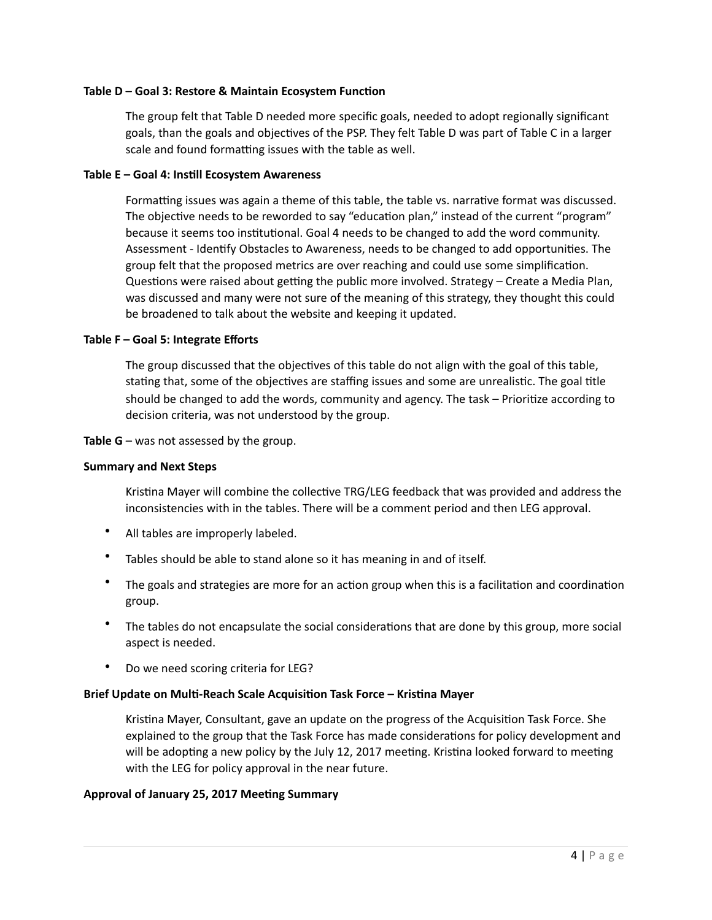## **Table D – Goal 3: Restore & Maintain Ecosystem Function**

The group felt that Table D needed more specific goals, needed to adopt regionally significant goals, than the goals and objectives of the PSP. They felt Table D was part of Table C in a larger scale and found formatting issues with the table as well.

## Table E - Goal 4: Instill Ecosystem Awareness

Formatting issues was again a theme of this table, the table vs. narrative format was discussed. The objective needs to be reworded to say "education plan," instead of the current "program" because it seems too institutional. Goal 4 needs to be changed to add the word community. Assessment - Identify Obstacles to Awareness, needs to be changed to add opportunities. The group felt that the proposed metrics are over reaching and could use some simplification. Questions were raised about getting the public more involved. Strategy – Create a Media Plan, was discussed and many were not sure of the meaning of this strategy, they thought this could be broadened to talk about the website and keeping it updated.

## Table F - Goal 5: Integrate Efforts

The group discussed that the objectives of this table do not align with the goal of this table, stating that, some of the objectives are staffing issues and some are unrealistic. The goal title should be changed to add the words, community and agency. The task – Prioritize according to decision criteria, was not understood by the group.

**Table G** – was not assessed by the group.

#### **Summary and Next Steps**

Kristina Mayer will combine the collective TRG/LEG feedback that was provided and address the inconsistencies with in the tables. There will be a comment period and then LEG approval.

- All tables are improperly labeled.
- Tables should be able to stand alone so it has meaning in and of itself.
- The goals and strategies are more for an action group when this is a facilitation and coordination group.
- The tables do not encapsulate the social considerations that are done by this group, more social aspect is needed.
- Do we need scoring criteria for LEG?

# **Brief Update on Multi-Reach Scale Acquisition Task Force - Kristina Mayer**

Kristina Mayer, Consultant, gave an update on the progress of the Acquisition Task Force. She explained to the group that the Task Force has made considerations for policy development and will be adopting a new policy by the July 12, 2017 meeting. Kristina looked forward to meeting with the LEG for policy approval in the near future.

# Approval of January 25, 2017 Meeting Summary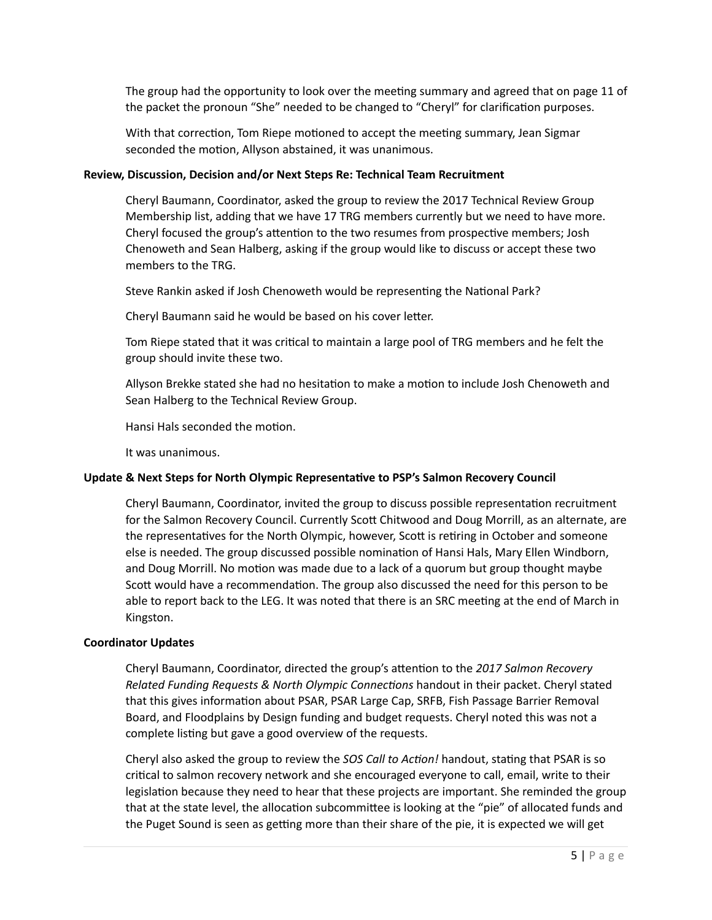The group had the opportunity to look over the meeting summary and agreed that on page 11 of the packet the pronoun "She" needed to be changed to "Cheryl" for clarification purposes.

With that correction, Tom Riepe motioned to accept the meeting summary, Jean Sigmar seconded the motion, Allyson abstained, it was unanimous.

#### **Review, Discussion, Decision and/or Next Steps Re: Technical Team Recruitment**

Cheryl Baumann, Coordinator, asked the group to review the 2017 Technical Review Group Membership list, adding that we have 17 TRG members currently but we need to have more. Cheryl focused the group's attention to the two resumes from prospective members; Josh Chenoweth and Sean Halberg, asking if the group would like to discuss or accept these two members to the TRG.

Steve Rankin asked if Josh Chenoweth would be representing the National Park?

Cheryl Baumann said he would be based on his cover letter.

Tom Riepe stated that it was critical to maintain a large pool of TRG members and he felt the group should invite these two.

Allyson Brekke stated she had no hesitation to make a motion to include Josh Chenoweth and Sean Halberg to the Technical Review Group.

Hansi Hals seconded the motion.

It was unanimous.

# Update & Next Steps for North Olympic Representative to PSP's Salmon Recovery Council

Cheryl Baumann, Coordinator, invited the group to discuss possible representation recruitment for the Salmon Recovery Council. Currently Scott Chitwood and Doug Morrill, as an alternate, are the representatives for the North Olympic, however, Scott is retiring in October and someone else is needed. The group discussed possible nomination of Hansi Hals, Mary Ellen Windborn, and Doug Morrill. No motion was made due to a lack of a quorum but group thought maybe Scott would have a recommendation. The group also discussed the need for this person to be able to report back to the LEG. It was noted that there is an SRC meeting at the end of March in Kingston. 

#### **Coordinator Updates**

Cheryl Baumann, Coordinator, directed the group's attention to the 2017 Salmon Recovery *Related Funding Requests & North Olympic Connections* handout in their packet. Cheryl stated that this gives information about PSAR, PSAR Large Cap, SRFB, Fish Passage Barrier Removal Board, and Floodplains by Design funding and budget requests. Cheryl noted this was not a complete listing but gave a good overview of the requests.

Cheryl also asked the group to review the *SOS Call to Action!* handout, stating that PSAR is so critical to salmon recovery network and she encouraged everyone to call, email, write to their legislation because they need to hear that these projects are important. She reminded the group that at the state level, the allocation subcommittee is looking at the "pie" of allocated funds and the Puget Sound is seen as getting more than their share of the pie, it is expected we will get